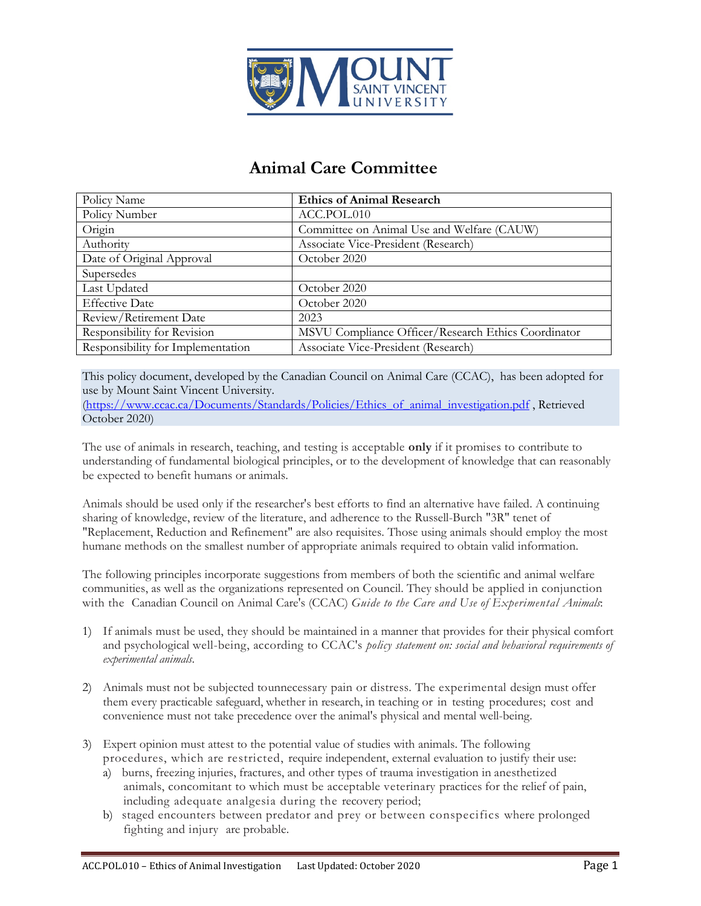

## **Animal Care Committee**

| Policy Name                       | <b>Ethics of Animal Research</b>                    |
|-----------------------------------|-----------------------------------------------------|
| Policy Number                     | ACC.POL.010                                         |
| Origin                            | Committee on Animal Use and Welfare (CAUW)          |
| Authority                         | Associate Vice-President (Research)                 |
| Date of Original Approval         | October 2020                                        |
| Supersedes                        |                                                     |
| Last Updated                      | October 2020                                        |
| <b>Effective Date</b>             | October 2020                                        |
| Review/Retirement Date            | 2023                                                |
| Responsibility for Revision       | MSVU Compliance Officer/Research Ethics Coordinator |
| Responsibility for Implementation | Associate Vice-President (Research)                 |

This policy document, developed by the Canadian Council on Animal Care (CCAC), has been adopted for use by Mount Saint Vincent University.

[\(https://www.ccac.ca/Documents/Standards/Policies/Ethics\\_of\\_animal\\_investigation.pdf](https://www.ccac.ca/Documents/Standards/Policies/Ethics_of_animal_investigation.pdf) , Retrieved October 2020)

The use of animals in research, teaching, and testing is acceptable **only** if it promises to contribute to understanding of fundamental biological principles, or to the development of knowledge that can reasonably be expected to benefit humans or animals.

Animals should be used only if the researcher's best efforts to find an alternative have failed. A continuing sharing of knowledge, review of the literature, and adherence to the Russell-Burch "3R" tenet of "Replacement, Reduction and Refinement" are also requisites. Those using animals should employ the most humane methods on the smallest number of appropriate animals required to obtain valid information.

The following principles incorporate suggestions from members of both the scientific and animal welfare communities, as well as the organizations represented on Council. They should be applied in conjunction with the Canadian Council on Animal Care's (CCAC) *Guide to the Care and Use of Experimental Animals*:

- 1) If animals must be used, they should be maintained in a manner that provides for their physical comfort and psychological well-being, according to CCAC's *policy statement on: social and behavioral requirements of experimental animals*.
- 2) Animals must not be subjected tounnecessary pain or distress. The experimental design must offer them every practicable safeguard, whether in research, in teaching or in testing procedures; cost and convenience must not take precedence over the animal's physical and mental well-being.
- 3) Expert opinion must attest to the potential value of studies with animals. The following procedures, which are restricted, require independent, external evaluation to justify their use:
	- a) burns, freezing injuries, fractures, and other types of trauma investigation in anesthetized animals, concomitant to which must be acceptable veterinary practices for the relief of pain, including adequate analgesia during the recovery period;
	- b) staged encounters between predator and prey or between conspecifics where prolonged fighting and injury are probable.